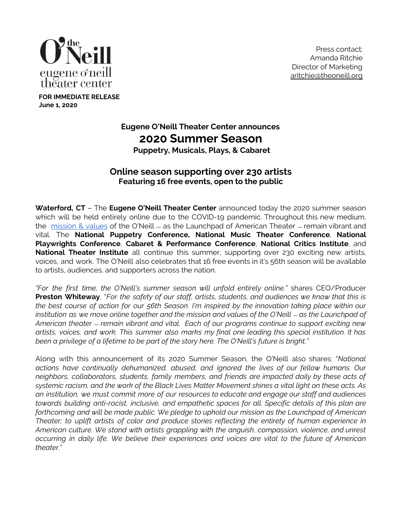

**FOR IMMEDIATE RELEASE**

**June 1, 2020**

Press contact: Amanda Ritchie Director of Marketing [aritchie@theoneill.org](mailto:aritchie@theoneill.org)

# **Eugene O'Neill Theater Center announces 2020 Summer Season**

**Puppetry, Musicals, Plays, & Cabaret**

# **Online season supporting over 230 artists Featuring 16 free events, open to the public**

**Waterford, CT** – The **Eugene O'Neill Theater Center** announced today the 2020 summer season which will be held entirely online due to the COVID-19 pandemic. Throughout this new medium, the [mission](http://www.theoneill.org/mission) & values of the O'Neill  $-$  as the Launchpad of American Theater  $-$  remain vibrant and vital. The **National Puppetry Conference, National Music Theater Conference**, **National Playwrights Conference**, **Cabaret & Performance Conference**, **National Critics Institute**, and **National Theater Institute** all continue this summer, supporting over 230 exciting new artists, voices, and work. The O'Neill also celebrates that 16 free events in it's 56th season will be available to artists, audiences, and supporters across the nation.

*"For the first time, the O'Neill's summer season will unfold entirely online."* shares CEO/Producer **Preston Whiteway**. "*For the safety of our staff, artists, students, and audiences we know that this is* the best course of action for our 56th Season. I'm inspired by the innovation taking place within our institution as we move online together and the mission and values of the O'Neill – as the Launchpad of *American theater* ﹘ *remain vibrant and vital. Each of our programs continue to support exciting new artists, voices, and work. This summer also marks my final one leading this special institution. It has been a privilege of a lifetime to be part of the story here. The O'Neill's future is bright."*

Along with this announcement of its 2020 Summer Season, the O'Neill also shares: "*National actions have continually dehumanized, abused, and ignored the lives of our fellow humans. Our neighbors, collaborators, students, family members, and friends are impacted daily by these acts of* systemic racism, and the work of the Black Lives Matter Movement shines a vital light on these acts. As *an institution, we must commit more of our resources to educate and engage our staff and audiences towards building anti-racist, inclusive, and empathetic spaces for all. Specific details of this plan are forthcoming and will be made public. We pledge to uphold our mission as the Launchpad of American Theater; to uplift artists of color and produce stories reflecting the entirety of human experience in American culture. We stand with artists grappling with the anguish, compassion, violence, and unrest occurring in daily life. We believe their experiences and voices are vital to the future of American theater.*"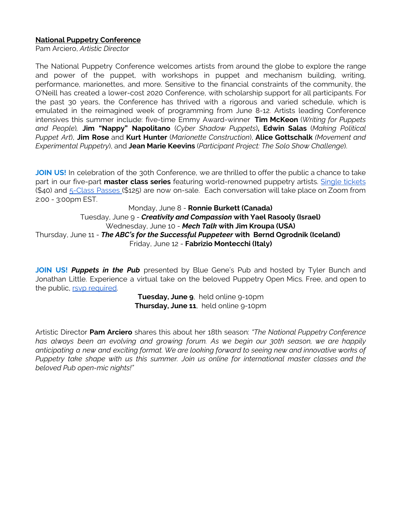## **National Puppetry Conference**

Pam Arciero, *Artistic Director*

The National Puppetry Conference welcomes artists from around the globe to explore the range and power of the puppet, with workshops in puppet and mechanism building, writing, performance, marionettes, and more. Sensitive to the financial constraints of the community, the O'Neill has created a lower-cost 2020 Conference, with scholarship support for all participants. For the past 30 years, the Conference has thrived with a rigorous and varied schedule, which is emulated in the reimagined week of programming from June 8-12. Artists leading Conference intensives this summer include: five-time Emmy Award-winner **Tim McKeon** (*Writing for Puppets and People*)*,* **Jim "Nappy" Napolitano** (*Cyber Shadow Puppets*)**, Edwin Salas** (*Making Political Puppet Art*), **Jim Rose** and **Kurt Hunter** (*Marionette Construction*), **Alice Gottschalk** *(Movement and Experimental Puppetry*), and **Jean Marie Keevins** (*Participant Project: The Solo Show Challenge*).

**JOIN US!** In celebration of the 30th Conference, we are thrilled to offer the public a chance to take part in our five-part **master class series** featuring world-renowned puppetry artists. Single [tickets](https://theoneill.secure.force.com/ticket/) (\$40) and [5-Class](https://theoneill.secure.force.com/ticket/) Passes (\$125) are now on-sale. Each conversation will take place on Zoom from 2:00 - 3:00pm EST.

## Monday, June 8 - **Ronnie Burkett (Canada)** Tuesday, June 9 - *Creativity and Compassion* **with Yael Rasooly (Israel)** Wednesday, June 10 - *Mech Talk* **with Jim Kroupa (USA)** Thursday, June 11 - *The ABC's for the Successful Puppeteer* **with Bernd Ogrodnik (Iceland)** Friday, June 12 - **Fabrizio Montecchi (Italy)**

**JOIN US!** *Puppets in the Pub* presented by Blue Gene's Pub and hosted by Tyler Bunch and Jonathan Little. Experience a virtual take on the beloved Puppetry Open Mics. Free, and open to the public, rsvp [required.](https://docs.google.com/forms/d/e/1FAIpQLSdtZLw8FG-2buifz7Q2ctXfSvBclUCr7h4Rwag8FJ_PpHvGJg/viewform)

> **Tuesday, June 9**, held online 9-10pm **Thursday, June 11**, held online 9-10pm

Artistic Director **Pam Arciero** shares this about her 18th season: *"The National Puppetry Conference has always been an evolving and growing forum. As we begin our 30th season, we are happily anticipating a new and exciting format. We are looking forward to seeing new and innovative works of Puppetry take shape with us this summer. Join us online for international master classes and the beloved Pub open-mic nights!"*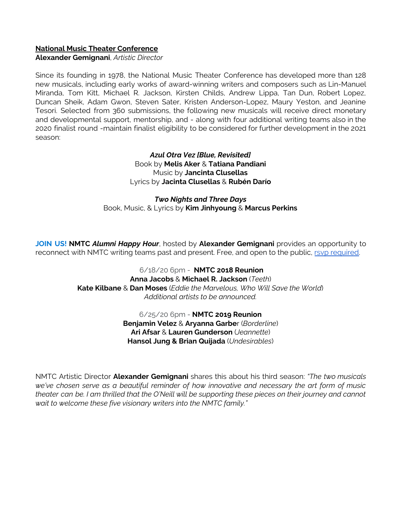# **National Music Theater Conference**

**Alexander Gemignani**, *Artistic Director*

Since its founding in 1978, the National Music Theater Conference has developed more than 128 new musicals, including early works of award-winning writers and composers such as Lin-Manuel Miranda, Tom Kitt, Michael R. Jackson, Kirsten Childs, Andrew Lippa, Tan Dun, Robert Lopez, Duncan Sheik, Adam Gwon, Steven Sater, Kristen Anderson-Lopez, Maury Yeston, and Jeanine Tesori. Selected from 360 submissions, the following new musicals will receive direct monetary and developmental support, mentorship, and - along with four additional writing teams also in the 2020 finalist round -maintain finalist eligibility to be considered for further development in the 2021 season:

> *Azul Otra Vez [Blue, Revisited]* Book by **Melis Aker** & **Tatiana Pandiani** Music by **Jancinta Clusellas** Lyrics by **Jacinta Clusellas** & **Rubén Darío**

*Two Nights and Three Days* Book, Music, & Lyrics by **Kim Jinhyoung** & **Marcus Perkins**

**JOIN US! NMTC** *Alumni Happy Hour*, hosted by **Alexander Gemignani** provides an opportunity to reconnect with NMTC writing teams past and present. Free, and open to the public, rsvp [required.](https://docs.google.com/forms/d/e/1FAIpQLSdtZLw8FG-2buifz7Q2ctXfSvBclUCr7h4Rwag8FJ_PpHvGJg/viewform)

> 6/18/20 6pm - **NMTC 2018 Reunion Anna Jacobs** & **Michael R. Jackson** (*Teeth*) **Kate Kilbane** & **Dan Moses** (*Eddie the Marvelous, Who Will Save the World*) *Additional artists to be announced.*

> > 6/25/20 6pm - **NMTC 2019 Reunion Benjamin Velez** & **Aryanna Garbe**r (*Borderline*) **Ari Afsar** & **Lauren Gunderson** (*Jeannette*) **Hansol Jung & Brian Quijada** (*Undesirables*)

NMTC Artistic Director **Alexander Gemignani** shares this about his third season: *"The two musicals we've chosen serve as a beautiful reminder of how innovative and necessary the art form of music* theater can be. I am thrilled that the O'Neill will be supporting these pieces on their journey and cannot *wait to welcome these five visionary writers into the NMTC family."*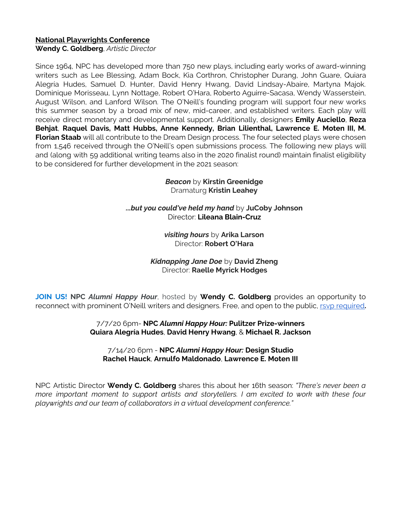# **National Playwrights Conference**

**Wendy C. Goldberg**, *Artistic Director*

Since 1964, NPC has developed more than 750 new plays, including early works of award-winning writers such as Lee Blessing, Adam Bock, Kia Corthron, Christopher Durang, John Guare, Quiara Alegría Hudes, Samuel D. Hunter, David Henry Hwang, David Lindsay-Abaire, Martyna Majok. Dominique Morisseau, Lynn Nottage, Robert O'Hara, Roberto Aguirre-Sacasa, Wendy Wasserstein, August Wilson, and Lanford Wilson. The O'Neill's founding program will support four new works this summer season by a broad mix of new, mid-career, and established writers. Each play will receive direct monetary and developmental support. Additionally, designers **Emily Auciello**, **Reza Behjat**, **Raquel Davis, Matt Hubbs, Anne Kennedy, Brian Lilienthal, Lawrence E. Moten III, M. Florian Staab** will all contribute to the Dream Design process. The four selected plays were chosen from 1,546 received through the O'Neill's open submissions process. The following new plays will and (along with 59 additional writing teams also in the 2020 finalist round) maintain finalist eligibility to be considered for further development in the 2021 season:

> *Beacon* by **Kirstin Greenidge** Dramaturg **Kristin Leahey**

*...but you could've held my hand* by **JuCoby Johnson** Director: **Lileana Blain-Cruz**

> *visiting hours* by **Arika Larson** Director: **Robert O'Hara**

*Kidnapping Jane Doe* by **David Zheng** Director: **Raelle Myrick Hodges**

**JOIN US! NPC** *Alumni Happy Hour*, hosted by **Wendy C. Goldberg** provides an opportunity to reconnect with prominent O'Neill writers and designers. Free, and open to the public, rsvp [required](https://docs.google.com/forms/d/e/1FAIpQLSdtZLw8FG-2buifz7Q2ctXfSvBclUCr7h4Rwag8FJ_PpHvGJg/viewform)**.**

> 7/7/20 6pm- **NPC** *Alumni Happy Hour:* **Pulitzer Prize-winners Quiara Alegría Hudes**, **David Henry Hwang**, & **Michael R. Jackson**

7/14/20 6pm - **NPC** *Alumni Happy Hour:* **Design Studio Rachel Hauck**, **Arnulfo Maldonado**, **Lawrence E. Moten III**

NPC Artistic Director **Wendy C. Goldberg** shares this about her 16th season: *"There's never been a more important moment to support artists and storytellers. I am excited to work with these four playwrights and our team of collaborators in a virtual development conference."*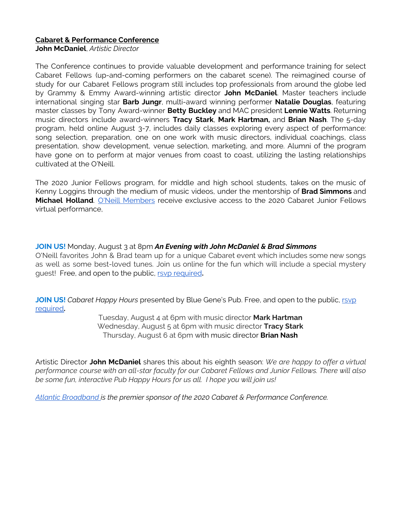# **Cabaret & Performance Conference**

**John McDaniel**, *Artistic Director*

The Conference continues to provide valuable development and performance training for select Cabaret Fellows (up-and-coming performers on the cabaret scene). The reimagined course of study for our Cabaret Fellows program still includes top professionals from around the globe led by Grammy & Emmy Award-winning artistic director **John McDaniel**. Master teachers include international singing star **Barb Jungr**, multi-award winning performer **Natalie Douglas**, featuring master classes by Tony Award-winner **Betty Buckley** and MAC president **Lennie Watts**. Returning music directors include award-winners **Tracy Stark**, **Mark Hartman,** and **Brian Nash**. The 5-day program, held online August 3-7, includes daily classes exploring every aspect of performance: song selection, preparation, one on one work with music directors, individual coachings, class presentation, show development, venue selection, marketing, and more. Alumni of the program have gone on to perform at major venues from coast to coast, utilizing the lasting relationships cultivated at the O'Neill.

The 2020 Junior Fellows program, for middle and high school students, takes on the music of Kenny Loggins through the medium of music videos, under the mentorship of **Brad Simmons** and **Michael Holland**. O'Neill [Members](https://www.theoneill.org/membership) receive exclusive access to the 2020 Cabaret Junior Fellows virtual performance,

**JOIN US!** Monday, August 3 at 8pm *An Evening with John McDaniel & Brad Simmons* O'Neill favorites John & Brad team up for a unique Cabaret event which includes some new songs as well as some best-loved tunes. Join us online for the fun which will include a special mystery guest! Free, and open to the public, rsvp [required](https://docs.google.com/forms/d/e/1FAIpQLSdtZLw8FG-2buifz7Q2ctXfSvBclUCr7h4Rwag8FJ_PpHvGJg/viewform)**.**

**JOIN US!** *Cabaret Happy Hours* presented by Blue Gene's Pub. Free, and open to the public, [rsvp](https://docs.google.com/forms/d/e/1FAIpQLSdtZLw8FG-2buifz7Q2ctXfSvBclUCr7h4Rwag8FJ_PpHvGJg/viewform) [required](https://docs.google.com/forms/d/e/1FAIpQLSdtZLw8FG-2buifz7Q2ctXfSvBclUCr7h4Rwag8FJ_PpHvGJg/viewform)**.**

> Tuesday, August 4 at 6pm with music director **Mark Hartman** Wednesday, August 5 at 6pm with music director **Tracy Stark** Thursday, August 6 at 6pm with music director **Brian Nash**

Artistic Director **John McDaniel** shares this about his eighth season: *We are happy to offer a virtual performance course with an all-star faculty for our Cabaret Fellows and Junior Fellows. There will also be some fun, interactive Pub Happy Hours for us all. I hope you will join us!*

*Atlantic [Broadband](https://atlanticbb.com/) is the premier sponsor of the 2020 Cabaret & Performance Conference.*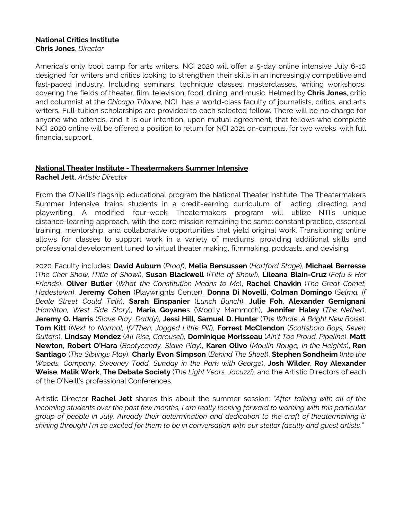#### **National Critics Institute Chris Jones**, *Director*

America's only boot camp for arts writers, NCI 2020 will offer a 5-day online intensive July 6-10 designed for writers and critics looking to strengthen their skills in an increasingly competitive and fast-paced industry. Including seminars, technique classes, masterclasses, writing workshops, covering the fields of theater, film, television, food, dining, and music. Helmed by **Chris Jones**, critic and columnist at the *Chicago Tribune*, NCI has a world-class faculty of journalists, critics, and arts writers. Full-tuition scholarships are provided to each selected fellow. There will be no charge for anyone who attends, and it is our intention, upon mutual agreement, that fellows who complete NCI 2020 online will be offered a position to return for NCI 2021 on-campus, for two weeks, with full financial support.

## **National Theater Institute - Theatermakers Summer Intensive**

**Rachel Jett**, *Artistic Director*

From the O'Neill's flagship educational program the National Theater Institute, The Theatermakers Summer Intensive trains students in a credit-earning curriculum of acting, directing, and playwriting. A modified four-week Theatermakers program will utilize NTI's unique distance-learning approach, with the core mission remaining the same: constant practice, essential training, mentorship, and collaborative opportunities that yield original work. Transitioning online allows for classes to support work in a variety of mediums, providing additional skills and professional development tuned to virtual theater making, filmmaking, podcasts, and devising.

2020 Faculty includes: **David Auburn** (*Proof*), **Melia Bensussen** (*Hartford Stage*), **Michael Berresse** (*The Cher Show, {Title of Show}*), **Susan Blackwell** (*{Title of Show]*), **Lileana Blain-Cruz** (*Fefu & Her Friends*), **Oliver Butler** (*What the Constitution Means to Me*), **Rachel Chavkin** (*The Great Comet, Hadestown*), **Jeremy Cohen** (Playwrights Center), **Donna Di Novelli**, **Colman Domingo** (*Selma, If Beale Street Could Talk*), **Sarah Einspanier** (*Lunch Bunch*), **Julie Foh**, **Alexander Gemignani** (*Hamilton, West Side Story*), **Maria Goyane**s (Woolly Mammoth), **Jennifer Haley** (*The Nether*), **Jeremy O. Harris** (*Slave Play, Daddy*), **Jessi Hill**, **Samuel D. Hunte**r (*The Whale, A Bright New Boise*), **Tom Kitt** (*Next to Normal, If/Then, Jagged Little Pill*), **Forrest McClendon** (*Scottsboro Boys, Seven Guitars*), **Lindsay Mendez** (*All Rise, Carousel*), **Dominique Morisseau** (*Ain't Too Proud, Pipeline*), **Matt Newton**, **Robert O'Hara** (*Bootycandy, Slave Play*), **Karen Olivo** (*Moulin Rouge, In the Heights*), **Ren Santiago** (*The Siblings Play*), **Charly Evon Simpson** (*Behind The Sheet*), **Stephen Sondheim** (*Into the Woods, Company, Sweeney Todd, Sunday in the Park with George*), **Josh Wilder**, **Roy Alexander Weise**, **Malik Work**, **The Debate Society** (*The Light Years, Jacuzzi*)*,* and the Artistic Directors of each of the O'Neill's professional Conferences.

Artistic Director **Rachel Jett** shares this about the summer session: *"After talking with all of the incoming students over the past few months, I am really looking forward to working with this particular group of people in July. Already their determination and dedication to the craft of theatermaking is* shining through! I'm so excited for them to be in conversation with our stellar faculty and guest artists."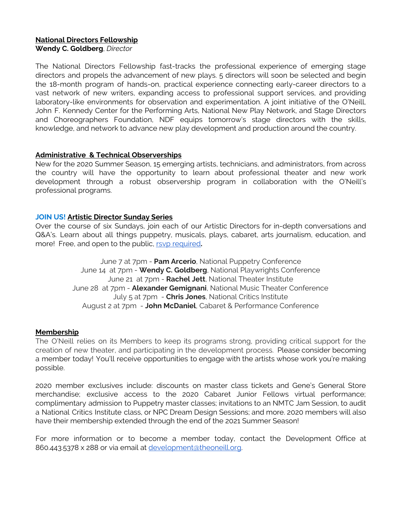#### **National Directors Fellowship Wendy C. Goldberg**, *Director*

The National Directors Fellowship fast-tracks the professional experience of emerging stage directors and propels the advancement of new plays. 5 directors will soon be selected and begin the 18-month program of hands-on, practical experience connecting early-career directors to a vast network of new writers, expanding access to professional support services, and providing laboratory-like environments for observation and experimentation. A joint initiative of the O'Neill, John F. Kennedy Center for the Performing Arts, National New Play Network, and Stage Directors and Choreographers Foundation, NDF equips tomorrow's stage directors with the skills, knowledge, and network to advance new play development and production around the country.

# **Administrative & Technical Observerships**

New for the 2020 Summer Season, 15 emerging artists, technicians, and administrators, from across the country will have the opportunity to learn about professional theater and new work development through a robust observership program in collaboration with the O'Neill's professional programs.

## **JOIN US! Artistic Director Sunday Series**

Over the course of six Sundays, join each of our Artistic Directors for in-depth conversations and Q&A's. Learn about all things puppetry, musicals, plays, cabaret, arts journalism, education, and more! Free, and open to the public, rsvp [required](https://docs.google.com/forms/d/e/1FAIpQLSdtZLw8FG-2buifz7Q2ctXfSvBclUCr7h4Rwag8FJ_PpHvGJg/viewform)**.**

> June 7 at 7pm - **Pam Arcerio**, National Puppetry Conference June 14 at 7pm - **Wendy C. Goldberg**, National Playwrights Conference June 21 at 7pm - **Rachel Jett**, National Theater Institute June 28 at 7pm - **Alexander Gemignani**, National Music Theater Conference July 5 at 7pm - **Chris Jones**, National Critics Institute August 2 at 7pm - **John McDaniel**, Cabaret & Performance Conference

## **Membership**

The O'Neill relies on its Members to keep its programs strong, providing critical support for the creation of new theater, and participating in the development process. Please consider becoming a member today! You'll receive opportunities to engage with the artists whose work you're making possible.

2020 member exclusives include: discounts on master class tickets and Gene's General Store merchandise; exclusive access to the 2020 Cabaret Junior Fellows virtual performance; complimentary admission to Puppetry master classes; invitations to an NMTC Jam Session, to audit a National Critics Institute class, or NPC Dream Design Sessions; and more. 2020 members will also have their membership extended through the end of the 2021 Summer Season!

For more information or to become a member today, contact the Development Office at 860.443.5378 x 288 or via email at [development@theoneill.org.](mailto:development@theoneill.org)